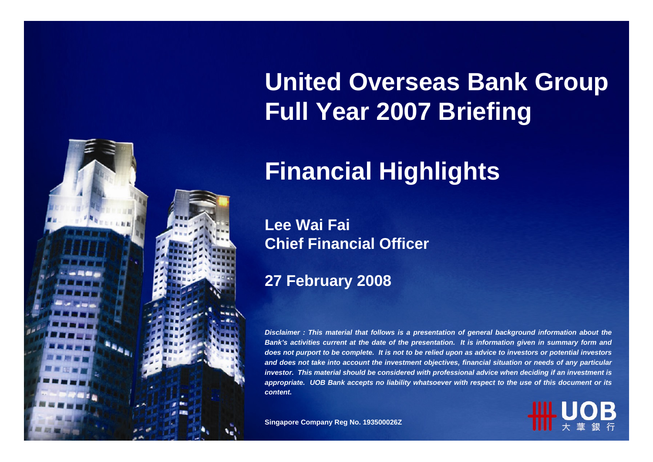

# **United Overseas Bank Group Full Year 2007 Briefing**

# **Financial Highlights**

#### **Lee Wai FaiChief Finan cial Officer**

#### **27 February 2008**

*Disclaimer : This material that follows is a presentation of general background information about the Ban k's activities current at the date of the presentatio n. It is informatio n given in summary form an d does not purport to be complete. It is not to be relied upon as advic e to investors or potential investors an d does n ot take into acco u nt the investment o bjectives, fin a n cial situatio n or needs of any p articular investor. This material should be considered with professional advice when deciding if an investment is appropriate. UOB Ban k accepts n o liability whatsoever with respect to th euse of this document or its content.*

**Sin gap ore Compan y R e g No. 193500026Z**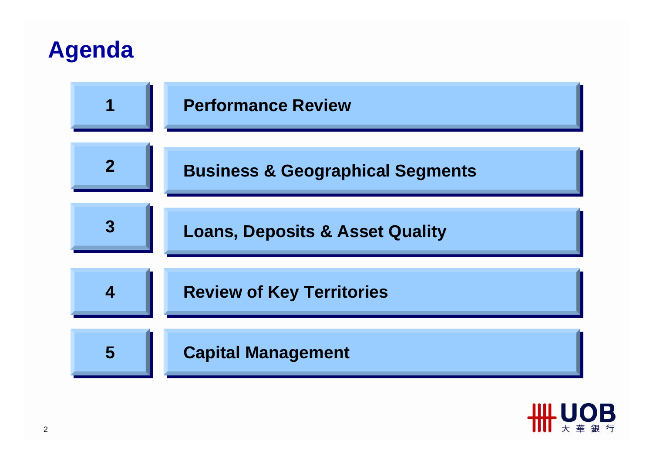### **Agenda**



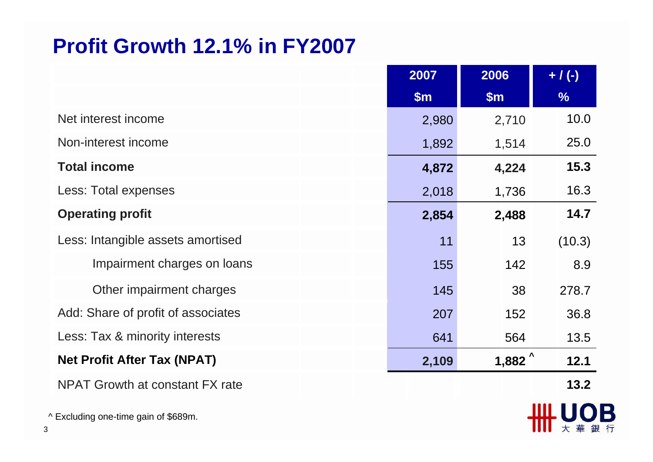#### **Profit Growth 12.1% in FY2007**

|                                        | 2007          | 2006  | $+ / (-)$ |
|----------------------------------------|---------------|-------|-----------|
|                                        | $\mathsf{Sm}$ | \$m\$ | $\%$      |
| Net interest income                    | 2,980         | 2,710 | 10.0      |
| Non-interest income                    | 1,892         | 1,514 | 25.0      |
| <b>Total income</b>                    | 4,872         | 4,224 | 15.3      |
| Less: Total expenses                   | 2,018         | 1,736 | 16.3      |
| <b>Operating profit</b>                | 2,854         | 2,488 | 14.7      |
| Less: Intangible assets amortised      | 11            | 13    | (10.3)    |
| Impairment charges on loans            | 155           | 142   | 8.9       |
| Other impairment charges               | 145           | 38    | 278.7     |
| Add: Share of profit of associates     | 207           | 152   | 36.8      |
| Less: Tax & minority interests         | 641           | 564   | 13.5      |
| <b>Net Profit After Tax (NPAT)</b>     | 2,109         | 1,882 | 12.1      |
| <b>NPAT Growth at constant FX rate</b> |               |       | 13.2      |

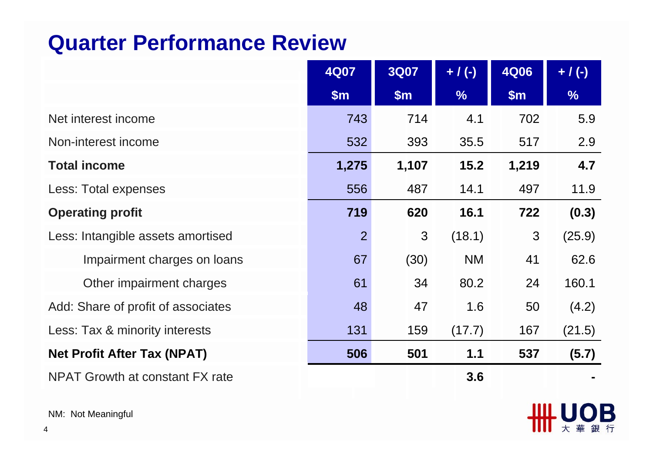#### **Quarter Performance Review**

|                                    | <b>4Q07</b>    | <b>3Q07</b> | $+ / (-)$     | <b>4Q06</b> | $+ / (-)$     |
|------------------------------------|----------------|-------------|---------------|-------------|---------------|
|                                    | \$m\$          | \$m\$       | $\frac{0}{6}$ | \$m\$       | $\frac{9}{6}$ |
| Net interest income                | 743            | 714         | 4.1           | 702         | 5.9           |
| Non-interest income                | 532            | 393         | 35.5          | 517         | 2.9           |
| <b>Total income</b>                | 1,275          | 1,107       | 15.2          | 1,219       | 4.7           |
| Less: Total expenses               | 556            | 487         | 14.1          | 497         | 11.9          |
| <b>Operating profit</b>            | 719            | 620         | 16.1          | 722         | (0.3)         |
| Less: Intangible assets amortised  | $\overline{2}$ | 3           | (18.1)        | 3           | (25.9)        |
| Impairment charges on loans        | 67             | (30)        | <b>NM</b>     | 41          | 62.6          |
| Other impairment charges           | 61             | 34          | 80.2          | 24          | 160.1         |
| Add: Share of profit of associates | 48             | 47          | 1.6           | 50          | (4.2)         |
| Less: Tax & minority interests     | 131            | 159         | (17.7)        | 167         | (21.5)        |
| <b>Net Profit After Tax (NPAT)</b> | 506            | 501         | 1.1           | 537         | (5.7)         |
| NPAT Growth at constant FX rate    |                |             | 3.6           |             |               |

**HH UOB** 

NM: Not Meaningful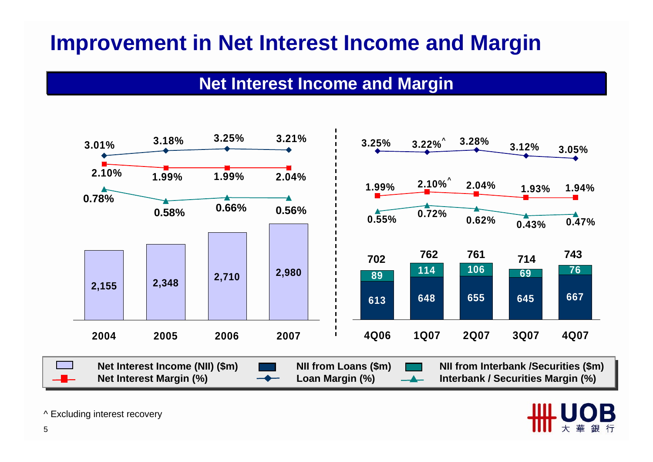### **Improvement in Net Interest Income and Margin**

#### **Net Interest Income and Margin**



^ Excluding interest recovery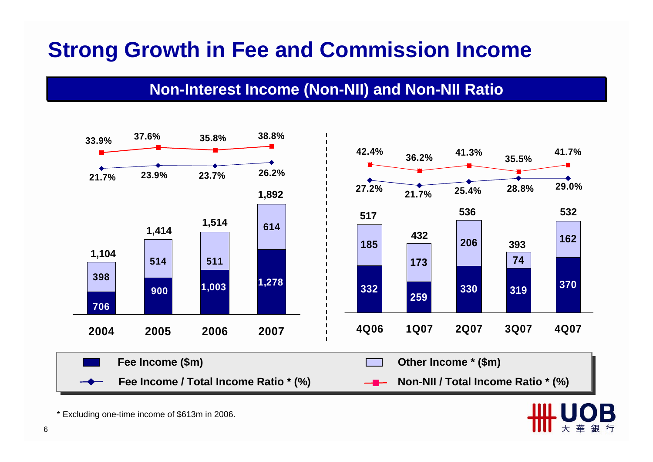### **Strong Growth in Fee and Commission Income**

#### **Non-Interest Income (Non-NII) and Non-NII Ratio**



\* Excluding one-time income of \$613m in 2006.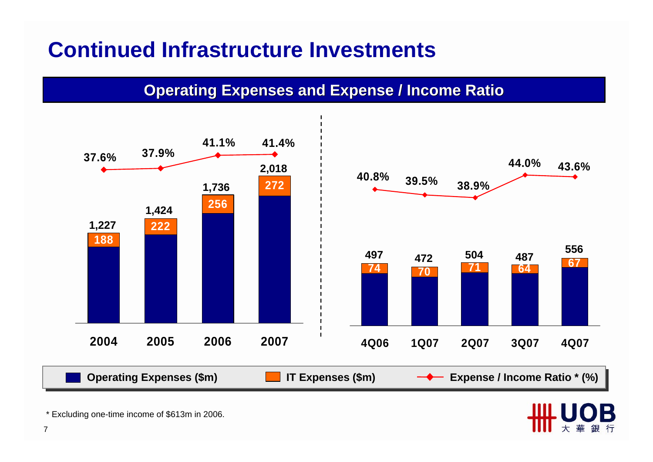#### **Continued Infrastructure Investments**

**Operating Expenses and Expense / Income Ratio** 



\* Excluding one-time income of \$613m in 2006.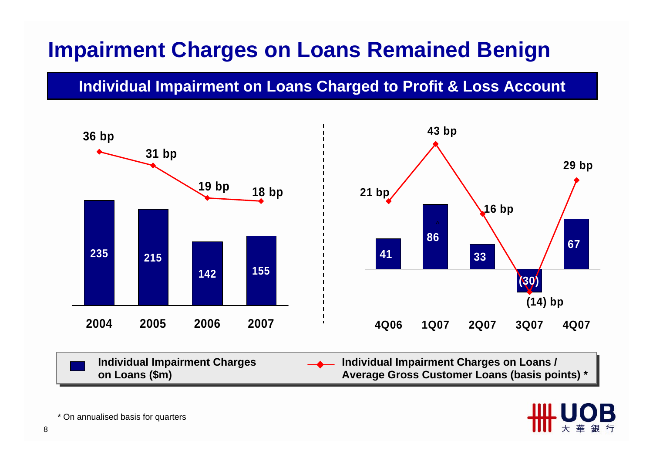### **Impairment Charges on Loans Remained Benign**

#### **Individual Impairment on Loans Charged to Profit & Loss Account**



**Individual Impairment Charges Individual Impairment Charges on Loans / Individual Impairment Charges Individual Impairment Charges on Loans / on Loans (\$m) Average Gross Customer Loans (basis points) \* on Loans (\$m) Average Gross Customer Loans (basis points) \***



\* On annualised basis for quarters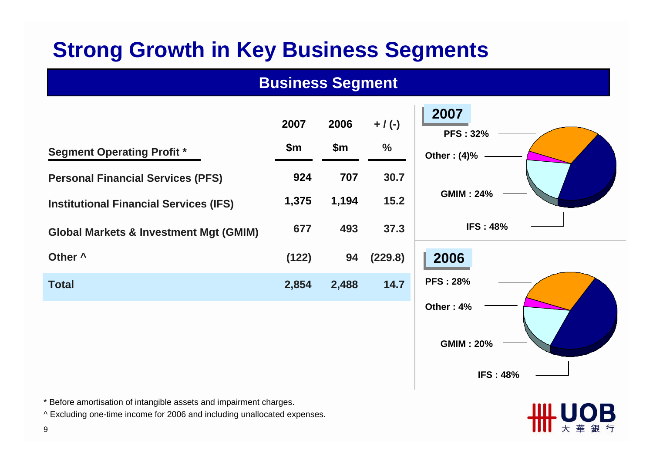### **Strong Growth in Key Business Segments**

#### **Business Segment**

|                                                                                                                                                | 2007  | 2006  | $+ / (-)$     | 2007<br><b>PFS: 32%</b> |
|------------------------------------------------------------------------------------------------------------------------------------------------|-------|-------|---------------|-------------------------|
| <b>Segment Operating Profit *</b>                                                                                                              | \$m\$ | \$m\$ | $\frac{0}{0}$ | Other: (4)%             |
| <b>Personal Financial Services (PFS)</b>                                                                                                       | 924   | 707   | 30.7          |                         |
| <b>Institutional Financial Services (IFS)</b>                                                                                                  | 1,375 | 1,194 | $15.2$        | <b>GMIM: 24%</b>        |
| <b>Global Markets &amp; Investment Mgt (GMIM)</b>                                                                                              | 677   | 493   | 37.3          | <b>IFS: 48%</b>         |
| Other ^                                                                                                                                        | (122) | 94    | (229.8)       | 2006                    |
| <b>Total</b>                                                                                                                                   | 2,854 | 2,488 | 14.7          | <b>PFS: 28%</b>         |
|                                                                                                                                                |       |       |               | Other: 4%               |
|                                                                                                                                                |       |       |               | <b>GMIM: 20%</b>        |
|                                                                                                                                                |       |       |               | <b>IFS: 48%</b>         |
| * Before amortisation of intangible assets and impairment charges.<br>^ Excluding one-time income for 2006 and including unallocated expenses. |       |       |               | ШЩ UOR                  |

Ⅲ大華銀行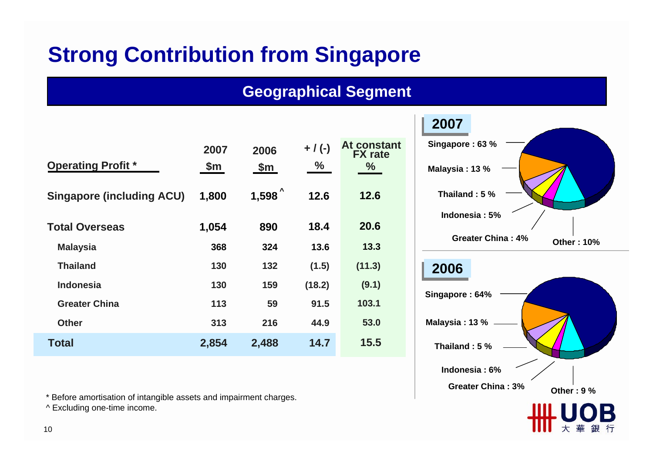### **Strong Contribution from Singapore**

#### **Geographical Segment**

| <b>Operating Profit *</b>        | 2007<br>\$m | 2006<br>\$m\$ | $+$ / (-)<br>$\frac{0}{0}$ | At constant<br><b>FX</b> rate<br>$\frac{9}{6}$ |
|----------------------------------|-------------|---------------|----------------------------|------------------------------------------------|
| <b>Singapore (including ACU)</b> | 1,800       | 1,598         | 12.6                       | 12.6                                           |
| <b>Total Overseas</b>            | 1,054       | 890           | 18.4                       | 20.6                                           |
| <b>Malaysia</b>                  | 368         | 324           | 13.6                       | 13.3                                           |
| <b>Thailand</b>                  | 130         | 132           | (1.5)                      | (11.3)                                         |
| <b>Indonesia</b>                 | 130         | 159           | (18.2)                     | (9.1)                                          |
| <b>Greater China</b>             | 113         | 59            | 91.5                       | 103.1                                          |
| <b>Other</b>                     | 313         | 216           | 44.9                       | 53.0                                           |
| <b>Total</b>                     | 2,854       | 2,488         | 14.7                       | 15.5                                           |

\* Before amortisation of intangible assets and impairment charges.

^ Excluding one-time income.

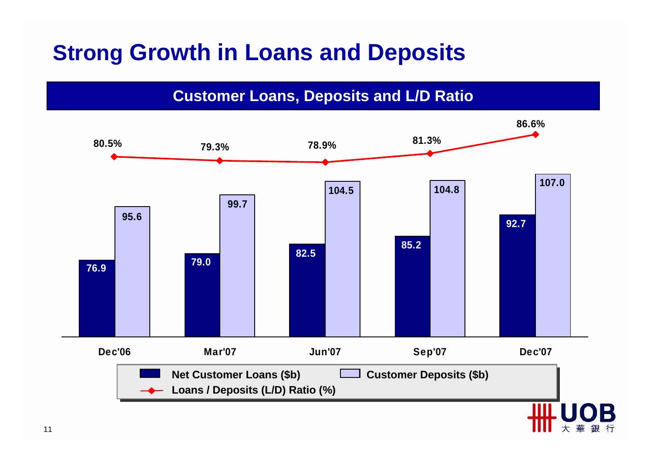## **Strong Growth in Loans and Deposits**

**Customer Loans, Deposits and L/D Ratio**

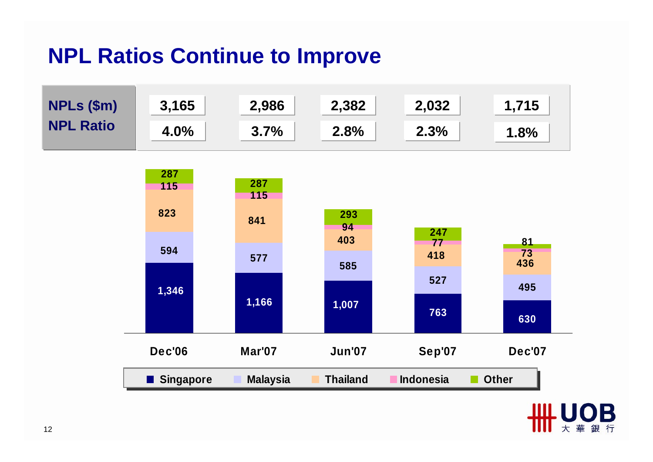#### **NPL Ratios Continue to Improve**



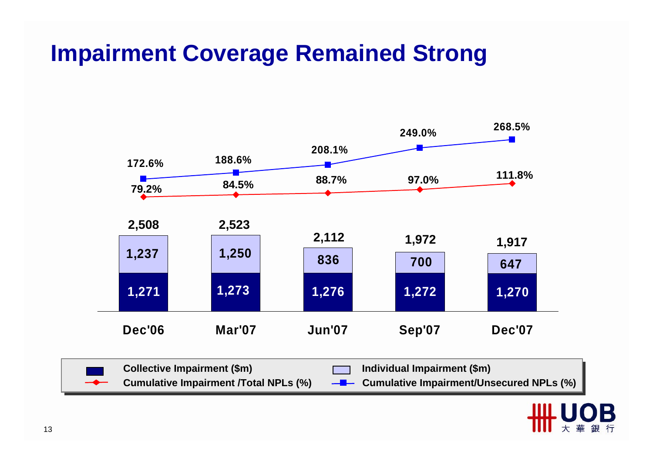## **Impairment Coverage Remained Strong**



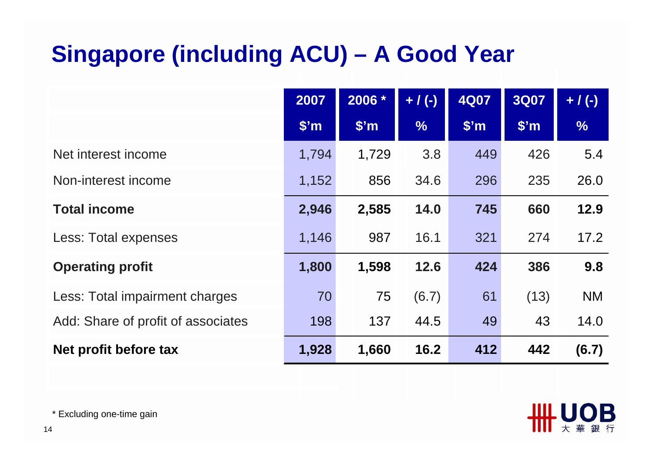# **Singapore (including ACU) – A Good Year**

|                                    | 2007              | 2006 *            | $+ / (-)$     | <b>4Q07</b>       | <b>3Q07</b>       | $+ / (-)$     |
|------------------------------------|-------------------|-------------------|---------------|-------------------|-------------------|---------------|
|                                    | \$ <sup>'</sup> m | \$ <sup>'</sup> m | $\frac{9}{6}$ | \$ <sup>'</sup> m | \$ <sup>'</sup> m | $\frac{0}{6}$ |
| Net interest income                | 1,794             | 1,729             | 3.8           | 449               | 426               | 5.4           |
| Non-interest income                | 1,152             | 856               | 34.6          | 296               | 235               | 26.0          |
| <b>Total income</b>                | 2,946             | 2,585             | 14.0          | 745               | 660               | 12.9          |
| Less: Total expenses               | 1,146             | 987               | 16.1          | 321               | 274               | 17.2          |
| <b>Operating profit</b>            | 1,800             | 1,598             | 12.6          | 424               | 386               | 9.8           |
| Less: Total impairment charges     | 70                | 75                | (6.7)         | 61                | (13)              | <b>NM</b>     |
| Add: Share of profit of associates | 198               | 137               | 44.5          | 49                | 43                | 14.0          |
| Net profit before tax              | 1,928             | 1,660             | 16.2          | 412               | 442               | (6.7)         |



\* Excluding one-time gain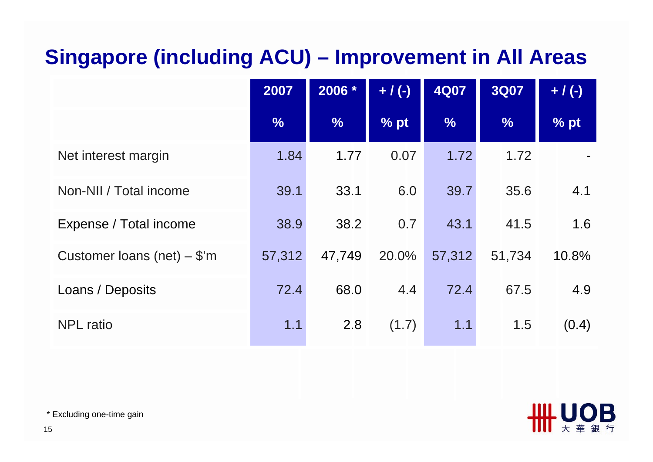### **Singapore (including ACU) – Improvement in All Areas**

|                               | 2007   | 2006 *        | $+ / (-)$ | <b>4Q07</b>   | <b>3Q07</b>   | $+ / (-)$ |
|-------------------------------|--------|---------------|-----------|---------------|---------------|-----------|
|                               | %      | $\frac{9}{6}$ | % pt      | $\frac{9}{6}$ | $\frac{0}{6}$ | % pt      |
| Net interest margin           | 1.84   | 1.77          | 0.07      | 1.72          | 1.72          |           |
| Non-NII / Total income        | 39.1   | 33.1          | 6.0       | 39.7          | 35.6          | 4.1       |
| Expense / Total income        | 38.9   | 38.2          | 0.7       | 43.1          | 41.5          | 1.6       |
| Customer loans (net) $-$ \$'m | 57,312 | 47,749        | 20.0%     | 57,312        | 51,734        | 10.8%     |
| Loans / Deposits              | 72.4   | 68.0          | 4.4       | 72.4          | 67.5          | 4.9       |
| <b>NPL</b> ratio              | 1.1    | 2.8           | (1.7)     | 1.1           | 1.5           | (0.4)     |



\* Excluding one-time gain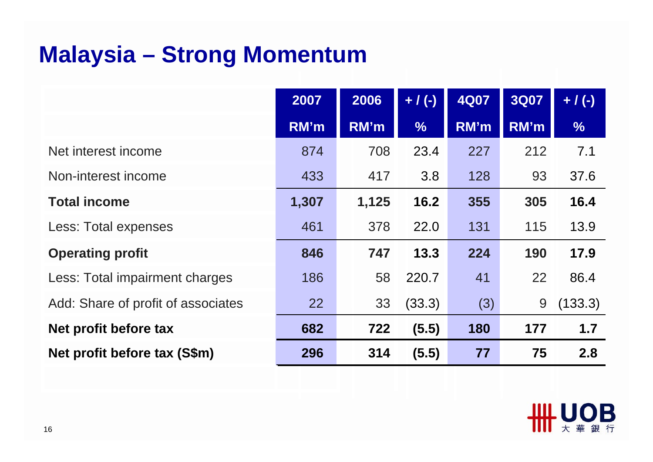## **Malaysia – Strong Momentum**

|                                    | 2007  | 2006  | $+ / (-)$     | <b>4Q07</b> | <b>3Q07</b> | $+ / (-)$     |
|------------------------------------|-------|-------|---------------|-------------|-------------|---------------|
|                                    | RM'm  | RM'm  | $\frac{9}{6}$ | RM'm        | RM'm        | $\frac{0}{6}$ |
| Net interest income                | 874   | 708   | 23.4          | 227         | 212         | 7.1           |
| Non-interest income                | 433   | 417   | 3.8           | 128         | 93          | 37.6          |
| <b>Total income</b>                | 1,307 | 1,125 | 16.2          | 355         | 305         | 16.4          |
| Less: Total expenses               | 461   | 378   | 22.0          | 131         | 115         | 13.9          |
| <b>Operating profit</b>            | 846   | 747   | 13.3          | 224         | 190         | 17.9          |
| Less: Total impairment charges     | 186   | 58    | 220.7         | 41          | 22          | 86.4          |
| Add: Share of profit of associates | 22    | 33    | (33.3)        | (3)         | 9           | (133.3)       |
| Net profit before tax              | 682   | 722   | (5.5)         | 180         | 177         | 1.7           |
| Net profit before tax (S\$m)       | 296   | 314   | (5.5)         | 77          | 75          | 2.8           |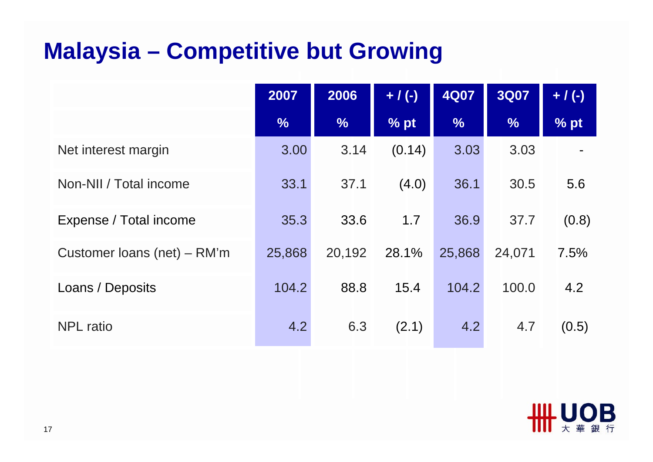## **Malaysia – Competitive but Growing**

|                               | 2007          | 2006          | $+ / (-)$ | <b>4Q07</b>   | <b>3Q07</b>   | $+ / (-)$ |
|-------------------------------|---------------|---------------|-----------|---------------|---------------|-----------|
|                               | $\frac{0}{6}$ | $\frac{0}{6}$ | % pt      | $\frac{0}{6}$ | $\frac{1}{2}$ | % pt      |
| Net interest margin           | 3.00          | 3.14          | (0.14)    | 3.03          | 3.03          |           |
| Non-NII / Total income        | 33.1          | 37.1          | (4.0)     | 36.1          | 30.5          | 5.6       |
| Expense / Total income        | 35.3          | 33.6          | 1.7       | 36.9          | 37.7          | (0.8)     |
| Customer loans (net) $-$ RM'm | 25,868        | 20,192        | 28.1%     | 25,868        | 24,071        | 7.5%      |
| Loans / Deposits              | 104.2         | 88.8          | 15.4      | 104.2         | 100.0         | 4.2       |
| <b>NPL</b> ratio              | 4.2           | 6.3           | (2.1)     | 4.2           | 4.7           | (0.5)     |

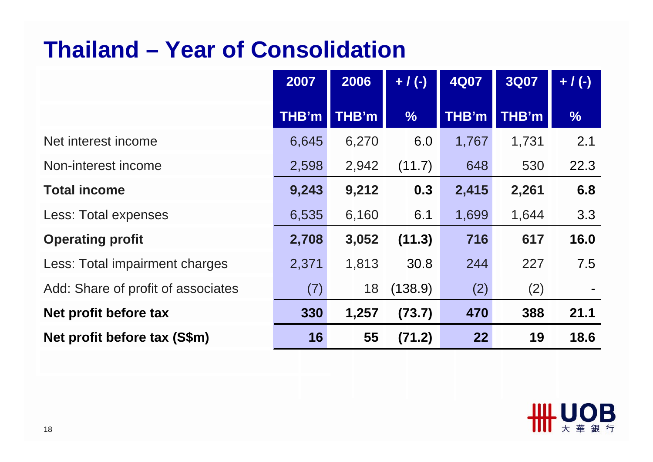## **Thailand – Year of Consolidation**

|                                    | 2007  | 2006  | $+ / (-)$     | <b>4Q07</b> | <b>3Q07</b> | $+ / (-)$     |
|------------------------------------|-------|-------|---------------|-------------|-------------|---------------|
|                                    | THB'm | THB'm | $\frac{0}{6}$ | THB'm       | THB'm       | $\frac{0}{6}$ |
| Net interest income                | 6,645 | 6,270 | 6.0           | 1,767       | 1,731       | 2.1           |
| Non-interest income                | 2,598 | 2,942 | (11.7)        | 648         | 530         | 22.3          |
| <b>Total income</b>                | 9,243 | 9,212 | 0.3           | 2,415       | 2,261       | 6.8           |
| Less: Total expenses               | 6,535 | 6,160 | 6.1           | 1,699       | 1,644       | 3.3           |
| <b>Operating profit</b>            | 2,708 | 3,052 | (11.3)        | 716         | 617         | 16.0          |
| Less: Total impairment charges     | 2,371 | 1,813 | 30.8          | 244         | 227         | 7.5           |
| Add: Share of profit of associates | (7)   | 18    | (138.9)       | (2)         | (2)         |               |
| Net profit before tax              | 330   | 1,257 | (73.7)        | 470         | 388         | 21.1          |
| Net profit before tax (S\$m)       | 16    | 55    | (71.2)        | 22          | 19          | 18.6          |

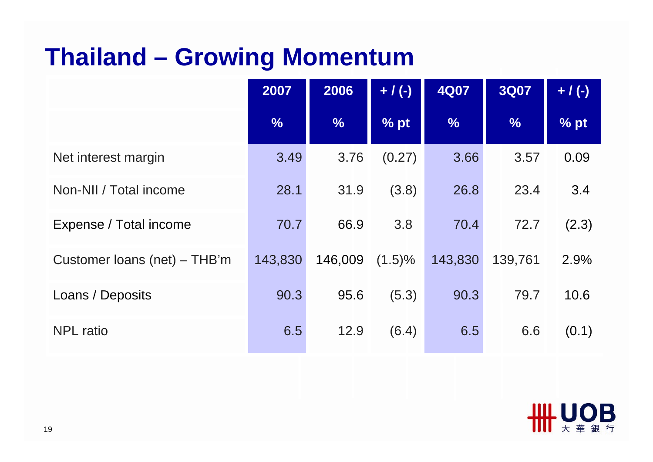# **Thailand – Growing Momentum**

|                                | 2007          | 2006          | $+ / (-)$ | <b>4Q07</b>   | <b>3Q07</b>   | $+ / (-)$ |
|--------------------------------|---------------|---------------|-----------|---------------|---------------|-----------|
|                                | $\frac{0}{6}$ | $\frac{9}{6}$ | % pt      | $\frac{9}{6}$ | $\frac{9}{6}$ | % pt      |
| Net interest margin            | 3.49          | 3.76          | (0.27)    | 3.66          | 3.57          | 0.09      |
| Non-NII / Total income         | 28.1          | 31.9          | (3.8)     | 26.8          | 23.4          | 3.4       |
| Expense / Total income         | 70.7          | 66.9          | 3.8       | 70.4          | 72.7          | (2.3)     |
| Customer loans (net) $-$ THB'm | 143,830       | 146,009       | $(1.5)\%$ | 143,830       | 139,761       | 2.9%      |
| Loans / Deposits               | 90.3          | 95.6          | (5.3)     | 90.3          | 79.7          | 10.6      |
| <b>NPL</b> ratio               | 6.5           | 12.9          | (6.4)     | 6.5           | 6.6           | (0.1)     |

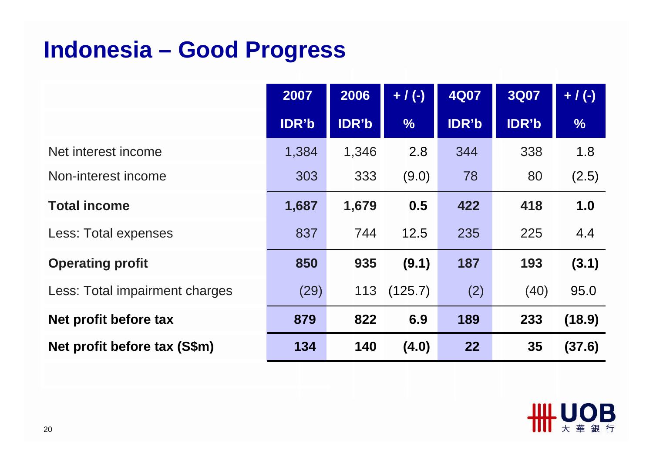## **Indonesia – Good Progress**

|                                | 2007         | 2006         | $+ / (-)$     | <b>4Q07</b>  | <b>3Q07</b>  | $+ / (-)$     |
|--------------------------------|--------------|--------------|---------------|--------------|--------------|---------------|
|                                | <b>IDR'b</b> | <b>IDR'b</b> | $\frac{9}{6}$ | <b>IDR'b</b> | <b>IDR'b</b> | $\frac{9}{6}$ |
| Net interest income            | 1,384        | 1,346        | 2.8           | 344          | 338          | 1.8           |
| Non-interest income            | 303          | 333          | (9.0)         | 78           | 80           | (2.5)         |
| <b>Total income</b>            | 1,687        | 1,679        | 0.5           | 422          | 418          | 1.0           |
| Less: Total expenses           | 837          | 744          | 12.5          | 235          | 225          | 4.4           |
| <b>Operating profit</b>        | 850          | 935          | (9.1)         | 187          | 193          | (3.1)         |
| Less: Total impairment charges | (29)         | 113          | (125.7)       | (2)          | (40)         | 95.0          |
| Net profit before tax          | 879          | 822          | 6.9           | 189          | 233          | (18.9)        |
| Net profit before tax (S\$m)   | 134          | 140          | (4.0)         | 22           | 35           | (37.6)        |

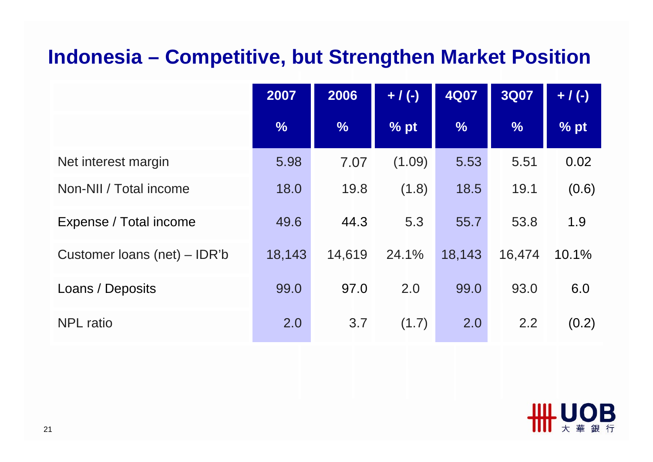#### **Indonesia – Competitive, but Strengthen Market Position**

|                              | 2007          | 2006          | $+ / (-)$ | <b>4Q07</b>   | <b>3Q07</b>   | $+ / (-)$ |
|------------------------------|---------------|---------------|-----------|---------------|---------------|-----------|
|                              | $\frac{9}{6}$ | $\frac{9}{6}$ | % pt      | $\frac{9}{6}$ | $\frac{0}{6}$ | % pt      |
| Net interest margin          | 5.98          | 7.07          | (1.09)    | 5.53          | 5.51          | 0.02      |
| Non-NII / Total income       | 18.0          | 19.8          | (1.8)     | 18.5          | 19.1          | (0.6)     |
| Expense / Total income       | 49.6          | 44.3          | 5.3       | 55.7          | 53.8          | 1.9       |
| Customer loans (net) – IDR'b | 18,143        | 14,619        | 24.1%     | 18,143        | 16,474        | 10.1%     |
| Loans / Deposits             | 99.0          | 97.0          | 2.0       | 99.0          | 93.0          | 6.0       |
| <b>NPL</b> ratio             | 2.0           | 3.7           | (1.7)     | 2.0           | 2.2           | (0.2)     |

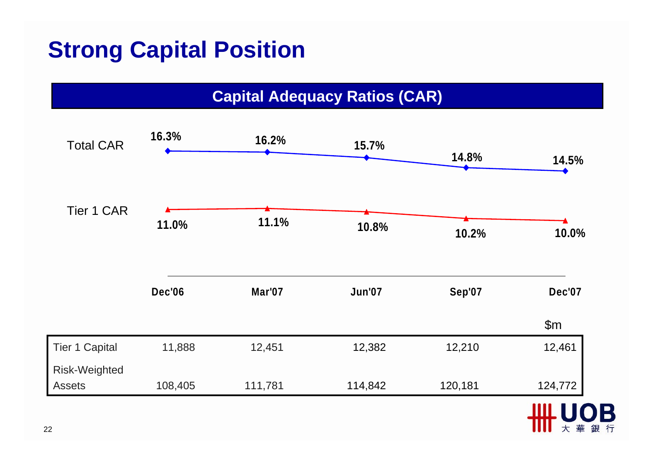# **Strong Capital Position**

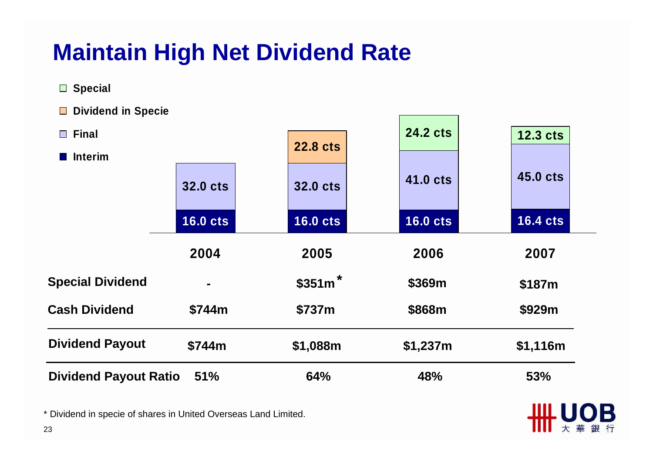# **Maintain High Net Dividend Rate**

 **Special**

 **Dividend in Specie**

| $\square$ Final              |                 |                 | <b>24.2 cts</b> | 12.3 cts        |
|------------------------------|-----------------|-----------------|-----------------|-----------------|
| <b>Interim</b>               |                 | <b>22.8 cts</b> |                 |                 |
|                              | <b>32.0 cts</b> | <b>32.0 cts</b> | 41.0 cts        | 45.0 cts        |
|                              | <b>16.0 cts</b> | <b>16.0 cts</b> | <b>16.0 cts</b> | <b>16.4 cts</b> |
|                              | 2004            | 2005            | 2006            | 2007            |
| <b>Special Dividend</b>      |                 | $$351m$ *       | \$369m          | \$187m          |
| <b>Cash Dividend</b>         | \$744m          | \$737m          | \$868m          | \$929m          |
| <b>Dividend Payout</b>       | \$744m          | \$1,088m        | \$1,237m        | \$1,116m        |
| <b>Dividend Payout Ratio</b> | 51%             | <b>64%</b>      | 48%             | 53%             |

OВ

\* Dividend in specie of shares in United Overseas Land Limited.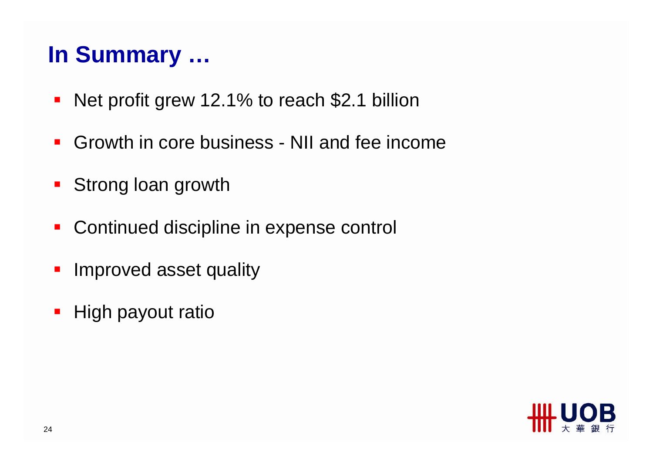## **In Summary …**

- Net profit grew 12.1% to reach \$2.1 billion
- $\mathcal{L}_{\mathcal{A}}$ Growth in core business - NII and fee income
- Strong loan growth
- Continued discipline in expense control
- $\mathcal{L}_{\mathcal{A}}$ Improved asset quality
- High payout ratio

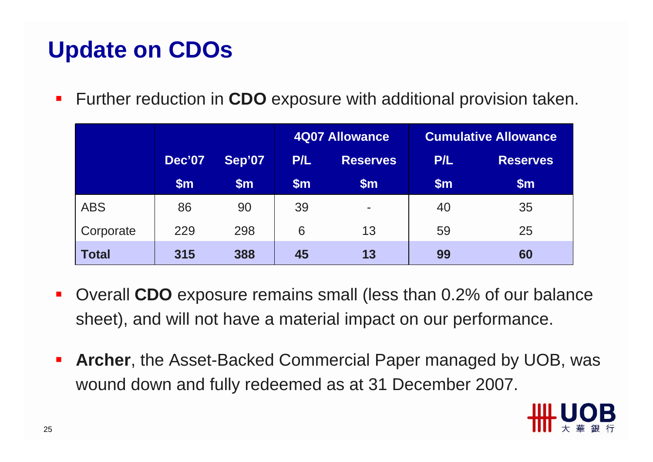# **Update on CDOs**

 $\mathcal{L}_{\mathcal{A}}$ **Further reduction in CDO** exposure with additional provision taken.

|              |               |        | <b>4Q07 Allowance</b> |                 | <b>Cumulative Allowance</b> |                 |
|--------------|---------------|--------|-----------------------|-----------------|-----------------------------|-----------------|
|              | <b>Dec'07</b> | Sep'07 | P/L                   | <b>Reserves</b> | P/L                         | <b>Reserves</b> |
|              | $\mathsf{Sm}$ | \$m\$  | $\mathsf{Sm}$         | $\mathsf{Sm}$   | $\mathsf{Sm}$               | $\mathsf{Sm}$   |
| <b>ABS</b>   | 86            | 90     | 39                    | ۰               | 40                          | 35              |
| Corporate    | 229           | 298    | 6                     | 13              | 59                          | 25              |
| <b>Total</b> | 315           | 388    | 45                    | 13              | 99                          | 60              |

- $\mathcal{L}_{\mathcal{A}}$  Overall **CDO** exposure remains small (less than 0.2% of our balance sheet), and will not have a material impact on our performance.
- $\mathcal{L}_{\mathcal{A}}$  **Archer**, the Asset-Backed Commercial Paper managed by UOB, was wound down and fully redeemed as at 31 December 2007.